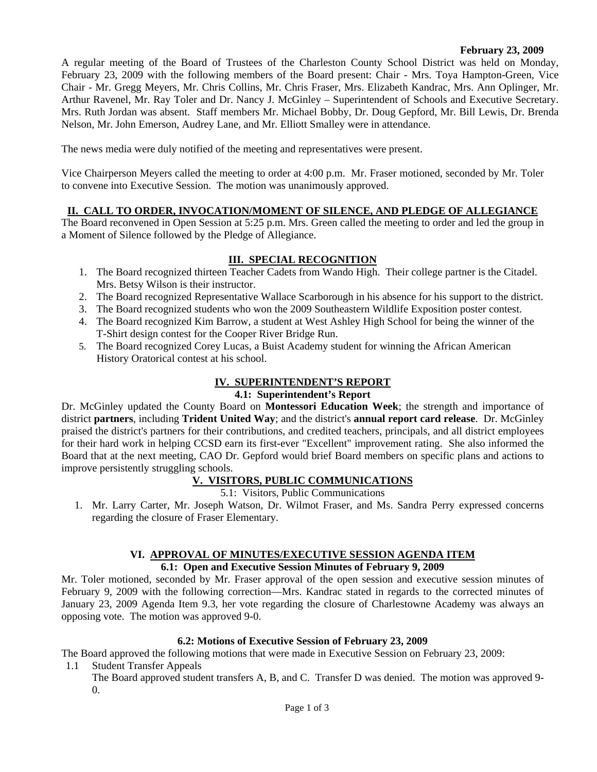#### **February 23, 2009**

A regular meeting of the Board of Trustees of the Charleston County School District was held on Monday, February 23, 2009 with the following members of the Board present: Chair - Mrs. Toya Hampton-Green, Vice Chair - Mr. Gregg Meyers, Mr. Chris Collins, Mr. Chris Fraser, Mrs. Elizabeth Kandrac, Mrs. Ann Oplinger, Mr. Arthur Ravenel, Mr. Ray Toler and Dr. Nancy J. McGinley – Superintendent of Schools and Executive Secretary. Mrs. Ruth Jordan was absent. Staff members Mr. Michael Bobby, Dr. Doug Gepford, Mr. Bill Lewis, Dr. Brenda Nelson, Mr. John Emerson, Audrey Lane, and Mr. Elliott Smalley were in attendance.

The news media were duly notified of the meeting and representatives were present.

Vice Chairperson Meyers called the meeting to order at 4:00 p.m. Mr. Fraser motioned, seconded by Mr. Toler to convene into Executive Session. The motion was unanimously approved.

# **II. CALL TO ORDER, INVOCATION/MOMENT OF SILENCE, AND PLEDGE OF ALLEGIANCE**

The Board reconvened in Open Session at 5:25 p.m. Mrs. Green called the meeting to order and led the group in a Moment of Silence followed by the Pledge of Allegiance.

#### **III. SPECIAL RECOGNITION**

- 1. The Board recognized thirteen Teacher Cadets from Wando High. Their college partner is the Citadel. Mrs. Betsy Wilson is their instructor.
- 2. The Board recognized Representative Wallace Scarborough in his absence for his support to the district.
- 3. The Board recognized students who won the 2009 Southeastern Wildlife Exposition poster contest.
- 4. The Board recognized Kim Barrow, a student at West Ashley High School for being the winner of the T-Shirt design contest for the Cooper River Bridge Run.
- 5. The Board recognized Corey Lucas, a Buist Academy student for winning the African American History Oratorical contest at his school.

#### **IV. SUPERINTENDENT'S REPORT**

#### **4.1: Superintendent's Report**

Dr. McGinley updated the County Board on **Montessori Education Week**; the strength and importance of district **partners**, including **Trident United Way**; and the district's **annual report card release**. Dr. McGinley praised the district's partners for their contributions, and credited teachers, principals, and all district employees for their hard work in helping CCSD earn its first-ever "Excellent" improvement rating. She also informed the Board that at the next meeting, CAO Dr. Gepford would brief Board members on specific plans and actions to improve persistently struggling schools.

# **V. VISITORS, PUBLIC COMMUNICATIONS**

#### 5.1: Visitors, Public Communications

1. Mr. Larry Carter, Mr. Joseph Watson, Dr. Wilmot Fraser, and Ms. Sandra Perry expressed concerns regarding the closure of Fraser Elementary.

#### **VI. APPROVAL OF MINUTES/EXECUTIVE SESSION AGENDA ITEM 6.1: Open and Executive Session Minutes of February 9, 2009**

Mr. Toler motioned, seconded by Mr. Fraser approval of the open session and executive session minutes of February 9, 2009 with the following correction—Mrs. Kandrac stated in regards to the corrected minutes of January 23, 2009 Agenda Item 9.3, her vote regarding the closure of Charlestowne Academy was always an opposing vote. The motion was approved 9-0.

# **6.2: Motions of Executive Session of February 23, 2009**

The Board approved the following motions that were made in Executive Session on February 23, 2009:

1.1 Student Transfer Appeals

The Board approved student transfers A, B, and C. Transfer D was denied. The motion was approved 9-  $\Omega$ .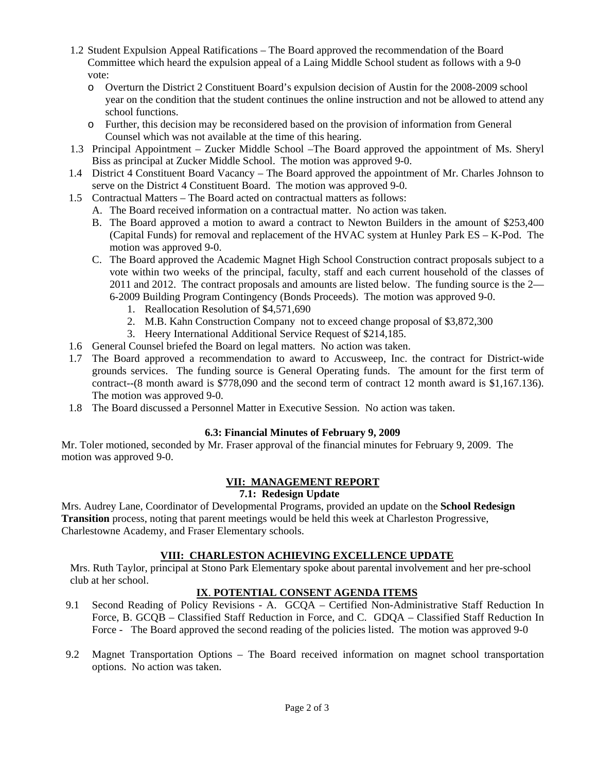- 1.2 Student Expulsion Appeal Ratifications The Board approved the recommendation of the Board Committee which heard the expulsion appeal of a Laing Middle School student as follows with a 9-0 vote:
	- o Overturn the District 2 Constituent Board's expulsion decision of Austin for the 2008-2009 school year on the condition that the student continues the online instruction and not be allowed to attend any school functions.
	- o Further, this decision may be reconsidered based on the provision of information from General Counsel which was not available at the time of this hearing.
- 1.3 Principal Appointment Zucker Middle School –The Board approved the appointment of Ms. Sheryl Biss as principal at Zucker Middle School. The motion was approved 9-0.
- 1.4 District 4 Constituent Board Vacancy The Board approved the appointment of Mr. Charles Johnson to serve on the District 4 Constituent Board. The motion was approved 9-0.
- 1.5 Contractual Matters The Board acted on contractual matters as follows:
	- A. The Board received information on a contractual matter. No action was taken.
	- B. The Board approved a motion to award a contract to Newton Builders in the amount of \$253,400 (Capital Funds) for removal and replacement of the HVAC system at Hunley Park ES – K-Pod. The motion was approved 9-0.
	- C. The Board approved the Academic Magnet High School Construction contract proposals subject to a vote within two weeks of the principal, faculty, staff and each current household of the classes of 2011 and 2012. The contract proposals and amounts are listed below. The funding source is the 2— 6-2009 Building Program Contingency (Bonds Proceeds). The motion was approved 9-0.
		- 1. Reallocation Resolution of \$4,571,690
		- 2. M.B. Kahn Construction Company not to exceed change proposal of \$3,872,300
		- 3. Heery International Additional Service Request of \$214,185.
- 1.6 General Counsel briefed the Board on legal matters. No action was taken.
- 1.7 The Board approved a recommendation to award to Accusweep, Inc. the contract for District-wide grounds services. The funding source is General Operating funds. The amount for the first term of contract--(8 month award is \$778,090 and the second term of contract 12 month award is \$1,167.136). The motion was approved 9-0.
- 1.8 The Board discussed a Personnel Matter in Executive Session. No action was taken.

# **6.3: Financial Minutes of February 9, 2009**

Mr. Toler motioned, seconded by Mr. Fraser approval of the financial minutes for February 9, 2009. The motion was approved 9-0.

# **VII: MANAGEMENT REPORT**

# **7.1: Redesign Update**

Mrs. Audrey Lane, Coordinator of Developmental Programs, provided an update on the **School Redesign Transition** process, noting that parent meetings would be held this week at Charleston Progressive, Charlestowne Academy, and Fraser Elementary schools.

# **VIII: CHARLESTON ACHIEVING EXCELLENCE UPDATE**

Mrs. Ruth Taylor, principal at Stono Park Elementary spoke about parental involvement and her pre-school club at her school.

# **IX**. **POTENTIAL CONSENT AGENDA ITEMS**

- 9.1 Second Reading of Policy Revisions A. GCQA Certified Non-Administrative Staff Reduction In Force, B. GCQB – Classified Staff Reduction in Force, and C. GDQA – Classified Staff Reduction In Force - The Board approved the second reading of the policies listed. The motion was approved 9-0
- 9.2 Magnet Transportation Options The Board received information on magnet school transportation options. No action was taken.